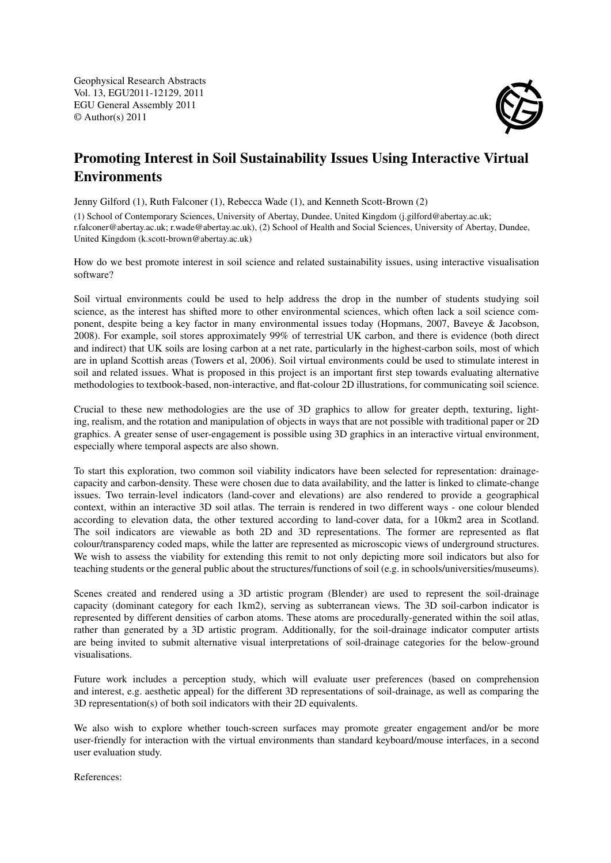Geophysical Research Abstracts Vol. 13, EGU2011-12129, 2011 EGU General Assembly 2011 © Author(s) 2011



## Promoting Interest in Soil Sustainability Issues Using Interactive Virtual Environments

Jenny Gilford (1), Ruth Falconer (1), Rebecca Wade (1), and Kenneth Scott-Brown (2)

(1) School of Contemporary Sciences, University of Abertay, Dundee, United Kingdom (j.gilford@abertay.ac.uk; r.falconer@abertay.ac.uk; r.wade@abertay.ac.uk), (2) School of Health and Social Sciences, University of Abertay, Dundee, United Kingdom (k.scott-brown@abertay.ac.uk)

How do we best promote interest in soil science and related sustainability issues, using interactive visualisation software?

Soil virtual environments could be used to help address the drop in the number of students studying soil science, as the interest has shifted more to other environmental sciences, which often lack a soil science component, despite being a key factor in many environmental issues today (Hopmans, 2007, Baveye & Jacobson, 2008). For example, soil stores approximately 99% of terrestrial UK carbon, and there is evidence (both direct and indirect) that UK soils are losing carbon at a net rate, particularly in the highest-carbon soils, most of which are in upland Scottish areas (Towers et al, 2006). Soil virtual environments could be used to stimulate interest in soil and related issues. What is proposed in this project is an important first step towards evaluating alternative methodologies to textbook-based, non-interactive, and flat-colour 2D illustrations, for communicating soil science.

Crucial to these new methodologies are the use of 3D graphics to allow for greater depth, texturing, lighting, realism, and the rotation and manipulation of objects in ways that are not possible with traditional paper or 2D graphics. A greater sense of user-engagement is possible using 3D graphics in an interactive virtual environment, especially where temporal aspects are also shown.

To start this exploration, two common soil viability indicators have been selected for representation: drainagecapacity and carbon-density. These were chosen due to data availability, and the latter is linked to climate-change issues. Two terrain-level indicators (land-cover and elevations) are also rendered to provide a geographical context, within an interactive 3D soil atlas. The terrain is rendered in two different ways - one colour blended according to elevation data, the other textured according to land-cover data, for a 10km2 area in Scotland. The soil indicators are viewable as both 2D and 3D representations. The former are represented as flat colour/transparency coded maps, while the latter are represented as microscopic views of underground structures. We wish to assess the viability for extending this remit to not only depicting more soil indicators but also for teaching students or the general public about the structures/functions of soil (e.g. in schools/universities/museums).

Scenes created and rendered using a 3D artistic program (Blender) are used to represent the soil-drainage capacity (dominant category for each 1km2), serving as subterranean views. The 3D soil-carbon indicator is represented by different densities of carbon atoms. These atoms are procedurally-generated within the soil atlas, rather than generated by a 3D artistic program. Additionally, for the soil-drainage indicator computer artists are being invited to submit alternative visual interpretations of soil-drainage categories for the below-ground visualisations.

Future work includes a perception study, which will evaluate user preferences (based on comprehension and interest, e.g. aesthetic appeal) for the different 3D representations of soil-drainage, as well as comparing the 3D representation(s) of both soil indicators with their 2D equivalents.

We also wish to explore whether touch-screen surfaces may promote greater engagement and/or be more user-friendly for interaction with the virtual environments than standard keyboard/mouse interfaces, in a second user evaluation study.

References: